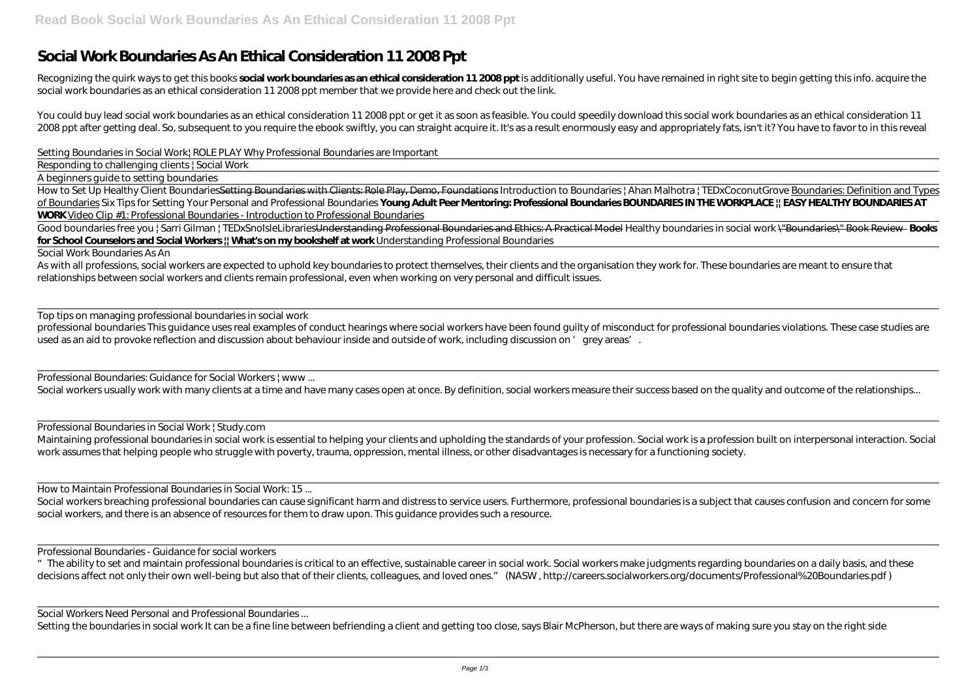## **Social Work Boundaries As An Ethical Consideration 11 2008 Ppt**

Recognizing the quirk ways to get this books social work boundaries as an ethical consideration 11 2008 ppt is additionally useful. You have remained in right site to begin getting this info. acquire the social work boundaries as an ethical consideration 11 2008 ppt member that we provide here and check out the link.

You could buy lead social work boundaries as an ethical consideration 11 2008 ppt or get it as soon as feasible. You could speedily download this social work boundaries as an ethical consideration 11 2008 ppt after getting deal. So, subsequent to you require the ebook swiftly, you can straight acquire it. It's as a result enormously easy and appropriately fats, isn't it? You have to favor to in this reveal

How to Set Up Healthy Client BoundariesSetting Boundaries with Clients: Role Play, Demo, Foundations *Introduction to Boundaries* / Ahan Malhotra / TEDxCoconutGrove Boundaries: Definition and Types of Boundaries Six Tips for Setting Your Personal and Professional Boundaries **Young Adult Peer Mentoring: Professional Boundaries BOUNDARIES IN THE WORKPLACE || EASY HEALTHY BOUNDARIES AT WORK** Video Clip #1: Professional Boundaries - Introduction to Professional Boundaries

*Setting Boundaries in Social Work| ROLE PLAY Why Professional Boundaries are Important*

Good boundaries free you | Sarri Gilman | TEDxSnoIsleLibrariesUnderstanding Professional Boundaries and Ethics: A Practical Model Healthy boundaries in social work \"Boundaries\" Book Review Books **for School Counselors and Social Workers || What's on my bookshelf at work** *Understanding Professional Boundaries*

Responding to challenging clients | Social Work

A beginners guide to setting boundaries

As with all professions, social workers are expected to uphold key boundaries to protect themselves, their clients and the organisation they work for. These boundaries are meant to ensure that relationships between social workers and clients remain professional, even when working on very personal and difficult issues.

Social workers breaching professional boundaries can cause significant harm and distress to service users. Furthermore, professional boundaries is a subject that causes confusion and concern for some social workers, and there is an absence of resources for them to draw upon. This guidance provides such a resource.

Social Work Boundaries As An

"The ability to set and maintain professional boundaries is critical to an effective, sustainable career in social work. Social workers make judgments regarding boundaries on a daily basis, and these decisions affect not only their own well-being but also that of their clients, colleagues, and loved ones." (NASW, http://careers.socialworkers.org/documents/Professional% 20Boundaries.pdf)

Top tips on managing professional boundaries in social work

professional boundaries This quidance uses real examples of conduct hearings where social workers have been found quilty of misconduct for professional boundaries violations. These case studies are used as an aid to provoke reflection and discussion about behaviour inside and outside of work, including discussion on 'grey areas'.

Professional Boundaries: Guidance for Social Workers | www...

Social workers usually work with many clients at a time and have many cases open at once. By definition, social workers measure their success based on the quality and outcome of the relationships...

Professional Boundaries in Social Work | Study.com

Maintaining professional boundaries in social work is essential to helping your clients and upholding the standards of your profession. Social work is a profession built on interpersonal interaction. Social work assumes that helping people who struggle with poverty, trauma, oppression, mental illness, or other disadvantages is necessary for a functioning society.

How to Maintain Professional Boundaries in Social Work: 15 ...

Professional Boundaries - Guidance for social workers

Social Workers Need Personal and Professional Boundaries ...

Setting the boundaries in social work It can be a fine line between befriending a client and getting too close, says Blair McPherson, but there are ways of making sure you stay on the right side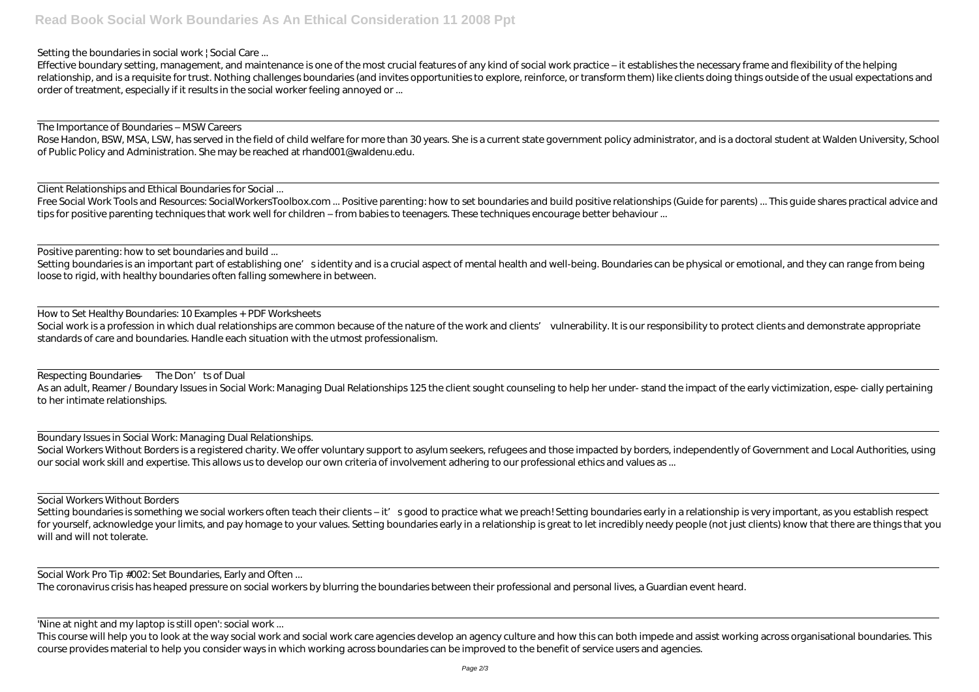Setting the boundaries in social work | Social Care ...

Effective boundary setting, management, and maintenance is one of the most crucial features of any kind of social work practice – it establishes the necessary frame and flexibility of the helping relationship, and is a requisite for trust. Nothing challenges boundaries (and invites opportunities to explore, reinforce, or transform them) like clients doing things outside of the usual expectations and order of treatment, especially if it results in the social worker feeling annoyed or ...

The Importance of Boundaries – MSW Careers

Rose Handon, BSW, MSA, LSW, has served in the field of child welfare for more than 30 years. She is a current state government policy administrator, and is a doctoral student at Walden University, School of Public Policy and Administration. She may be reached at rhand001@waldenu.edu.

Setting boundaries is an important part of establishing one's identity and is a crucial aspect of mental health and well-being. Boundaries can be physical or emotional, and they can range from being loose to rigid, with healthy boundaries often falling somewhere in between.

Client Relationships and Ethical Boundaries for Social ...

Free Social Work Tools and Resources: SocialWorkersToolbox.com ... Positive parenting: how to set boundaries and build positive relationships (Guide for parents) ... This quide shares practical advice and tips for positive parenting techniques that work well for children – from babies to teenagers. These techniques encourage better behaviour ...

Respecting Boundaries — The Don'ts of Dual As an adult, Reamer / Boundary Issues in Social Work: Managing Dual Relationships 125 the client sought counseling to help her under- stand the impact of the early victimization, espe- cially pertaining to her intimate relationships.

Positive parenting: how to set boundaries and build ...

Setting boundaries is something we social workers often teach their clients – it' s good to practice what we preach! Setting boundaries early in a relationship is very important, as you establish respect for yourself, acknowledge your limits, and pay homage to your values. Setting boundaries early in a relationship is great to let incredibly needy people (not just clients) know that there are things that you will and will not tolerate.

Social Work Pro Tip #002: Set Boundaries, Early and Often ...

How to Set Healthy Boundaries: 10 Examples + PDF Worksheets Social work is a profession in which dual relationships are common because of the nature of the work and clients' vulnerability. It is our responsibility to protect clients and demonstrate appropriate standards of care and boundaries. Handle each situation with the utmost professionalism.

This course will help you to look at the way social work and social work care agencies develop an agency culture and how this can both impede and assist working across organisational boundaries. This course provides material to help you consider ways in which working across boundaries can be improved to the benefit of service users and agencies.

Boundary Issues in Social Work: Managing Dual Relationships. Social Workers Without Borders is a registered charity. We offer voluntary support to asylum seekers, refugees and those impacted by borders, independently of Government and Local Authorities, using our social work skill and expertise. This allows us to develop our own criteria of involvement adhering to our professional ethics and values as ...

Social Workers Without Borders

The coronavirus crisis has heaped pressure on social workers by blurring the boundaries between their professional and personal lives, a Guardian event heard.

'Nine at night and my laptop is still open': social work ...